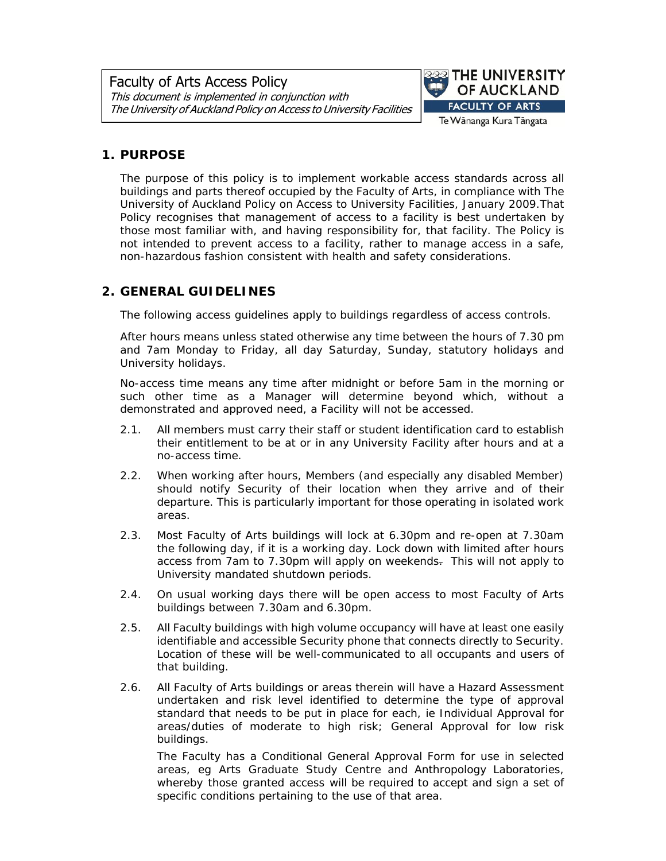

# **1. PURPOSE**

The purpose of this policy is to implement workable access standards across all buildings and parts thereof occupied by the Faculty of Arts, in compliance with *The University of Auckland Policy on Access to University Facilities,* January 2009.That Policy recognises that management of access to a facility is best undertaken by those most familiar with, and having responsibility for, that facility. The Policy is not intended to prevent access to a facility, rather to manage access in a safe, non-hazardous fashion consistent with health and safety considerations.

# **2. GENERAL GUIDELINES**

The following access guidelines apply to buildings regardless of access controls.

After hours means unless stated otherwise any time between the hours of 7.30 pm and 7am Monday to Friday, all day Saturday, Sunday, statutory holidays and University holidays.

No-access time means any time after midnight or before 5am in the morning or such other time as a Manager will determine beyond which, without a demonstrated and approved need, a Facility will not be accessed.

- 2.1. All members must carry their staff or student identification card to establish their entitlement to be at or in any University Facility after hours and at a no-access time.
- 2.2. When working after hours, Members (and especially any disabled Member) should notify Security of their location when they arrive and of their departure. This is particularly important for those operating in isolated work areas.
- 2.3. Most Faculty of Arts buildings will lock at 6.30pm and re-open at 7.30am the following day, if it is a working day. Lock down with limited after hours access from 7am to 7.30pm will apply on weekends. This will not apply to University mandated shutdown periods.
- 2.4. On usual working days there will be open access to most Faculty of Arts buildings between 7.30am and 6.30pm.
- 2.5. All Faculty buildings with high volume occupancy will have at least one easily identifiable and accessible Security phone that connects directly to Security. Location of these will be well-communicated to all occupants and users of that building.
- 2.6. All Faculty of Arts buildings or areas therein will have a Hazard Assessment undertaken and risk level identified to determine the type of approval standard that needs to be put in place for each, ie Individual Approval for areas/duties of moderate to high risk; General Approval for low risk buildings.

The Faculty has a Conditional General Approval Form for use in selected areas, eg Arts Graduate Study Centre and Anthropology Laboratories, whereby those granted access will be required to accept and sign a set of specific conditions pertaining to the use of that area.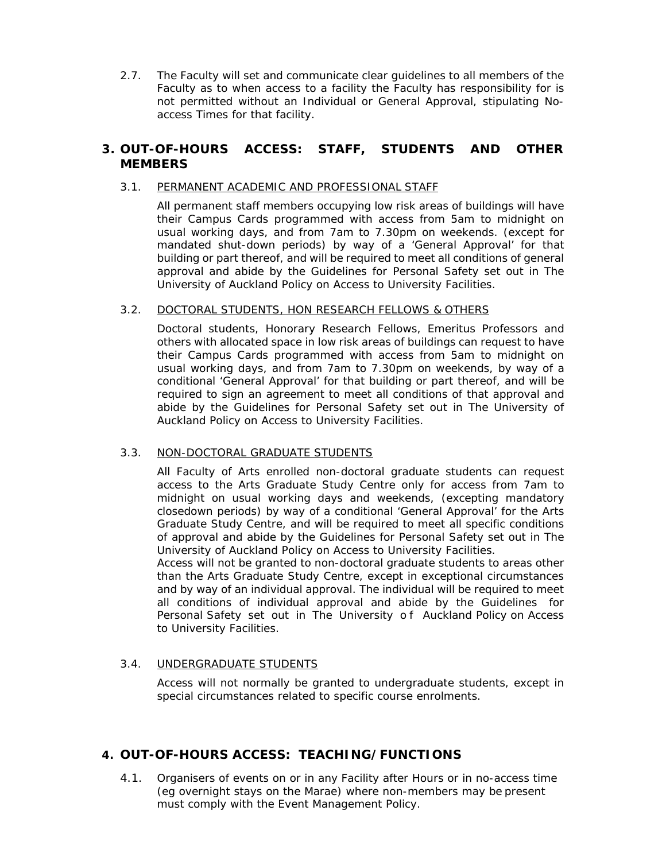2.7. The Faculty will set and communicate clear guidelines to all members of the Faculty as to when access to a facility the Faculty has responsibility for is not permitted without an Individual or General Approval, stipulating Noaccess Times for that facility.

## **3. OUT-OF-HOURS ACCESS: STAFF, STUDENTS AND OTHER MEMBERS**

### 3.1. PERMANENT ACADEMIC AND PROFESSIONAL STAFF

All permanent staff members occupying low risk areas of buildings will have their Campus Cards programmed with access from 5am to midnight on usual working days, and from 7am to 7.30pm on weekends. (except for mandated shut-down periods) by way of a 'General Approval' for that building or part thereof, and will be required to meet all conditions of general approval and abide by the Guidelines for Personal Safety set out in *The University of Auckland Policy on Access to University Facilities.*

### 3.2. DOCTORAL STUDENTS, HON RESEARCH FELLOWS & OTHERS

Doctoral students, Honorary Research Fellows, Emeritus Professors and others with allocated space in low risk areas of buildings can request to have their Campus Cards programmed with access from 5am to midnight on usual working days, and from 7am to 7.30pm on weekends, by way of a conditional 'General Approval' for that building or part thereof, and will be required to sign an agreement to meet all conditions of that approval and abide by the Guidelines for Personal Safety set out in *The University of Auckland Policy on Access to University Facilities*.

## 3.3. NON-DOCTORAL GRADUATE STUDENTS

All Faculty of Arts enrolled non-doctoral graduate students can request access to the Arts Graduate Study Centre only for access from 7am to midnight on usual working days and weekends, (excepting mandatory closedown periods) by way of a conditional 'General Approval' for the Arts Graduate Study Centre, and will be required to meet all specific conditions of approval and abide by the Guidelines for Personal Safety set out in *The University of Auckland Policy on Access to University Facilities.*

Access will not be granted to non-doctoral graduate students to areas other than the Arts Graduate Study Centre, except in exceptional circumstances and by way of an individual approval. The individual will be required to meet all conditions of individual approval and abide by the Guidelines for Personal Safety set out in *The University o f Auckland Policy on Access to University Facilities*.

## 3.4. UNDERGRADUATE STUDENTS

Access will not normally be granted to undergraduate students, except in special circumstances related to specific course enrolments.

# **4. OUT-OF-HOURS ACCESS: TEACHING/FUNCTIONS**

4.1. Organisers of events on or in any Facility after Hours or in no-access time (eg overnight stays on the Marae) where non-members may be present must comply with the Event Management Policy.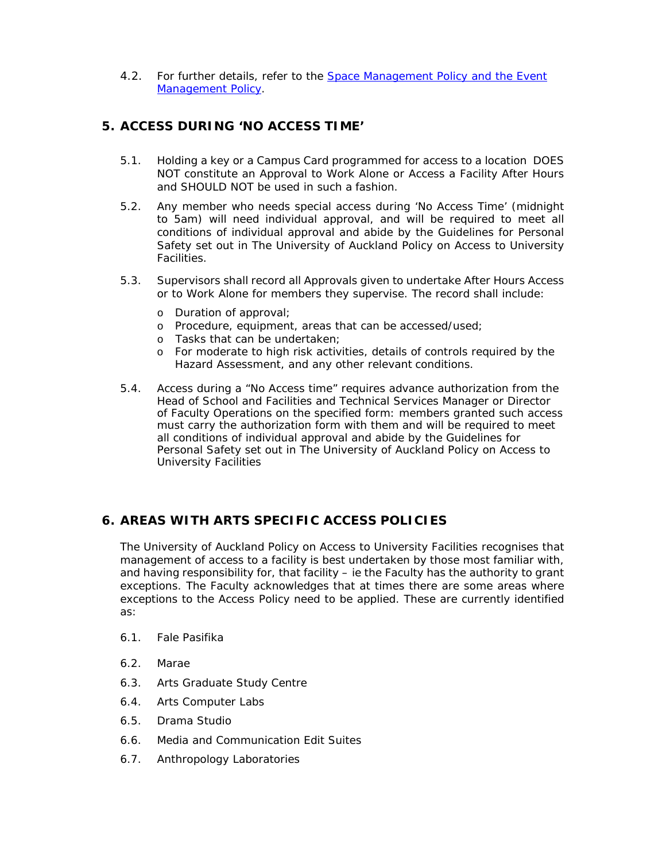4.2. For further details, refer to the **Space Management Policy and the Event** Management Policy.

# **5. ACCESS DURING 'NO ACCESS TIME'**

- 5.1. Holding a key or a Campus Card programmed for access to a location DOES NOT constitute an Approval to Work Alone or Access a Facility After Hours and SHOULD NOT be used in such a fashion.
- 5.2. Any member who needs special access during 'No Access Time' (midnight to 5am) will need individual approval, and will be required to meet all conditions of individual approval and abide by the Guidelines for Personal Safety set out in *The University of Auckland Policy on Access to University Facilities*.
- 5.3. Supervisors shall record all Approvals given to undertake After Hours Access or to Work Alone for members they supervise. The record shall include:
	- o Duration of approval;
	- o Procedure, equipment, areas that can be accessed/used;
	- o Tasks that can be undertaken;
	- o For moderate to high risk activities, details of controls required by the Hazard Assessment, and any other relevant conditions.
- 5.4. Access during a "No Access time" requires advance authorization from the Head of School and Facilities and Technical Services Manager or Director of Faculty Operations on the specified form: members granted such access must carry the authorization form with them and will be required to meet all conditions of individual approval and abide by the Guidelines for Personal Safety set out in *The University of Auckland Policy on Access to University Facilities*

# **6. AREAS WITH ARTS SPECIFIC ACCESS POLICIES**

*The University of Auckland Policy on Access to University Facilities* recognises that management of access to a facility is best undertaken by those most familiar with, and having responsibility for, that facility – ie the Faculty has the authority to grant exceptions. The Faculty acknowledges that at times there are some areas where exceptions to the Access Policy need to be applied. These are currently identified as:

- 6.1. Fale Pasifika
- 6.2. Marae
- 6.3. Arts Graduate Study Centre
- 6.4. Arts Computer Labs
- 6.5. Drama Studio
- 6.6. Media and Communication Edit Suites
- 6.7. Anthropology Laboratories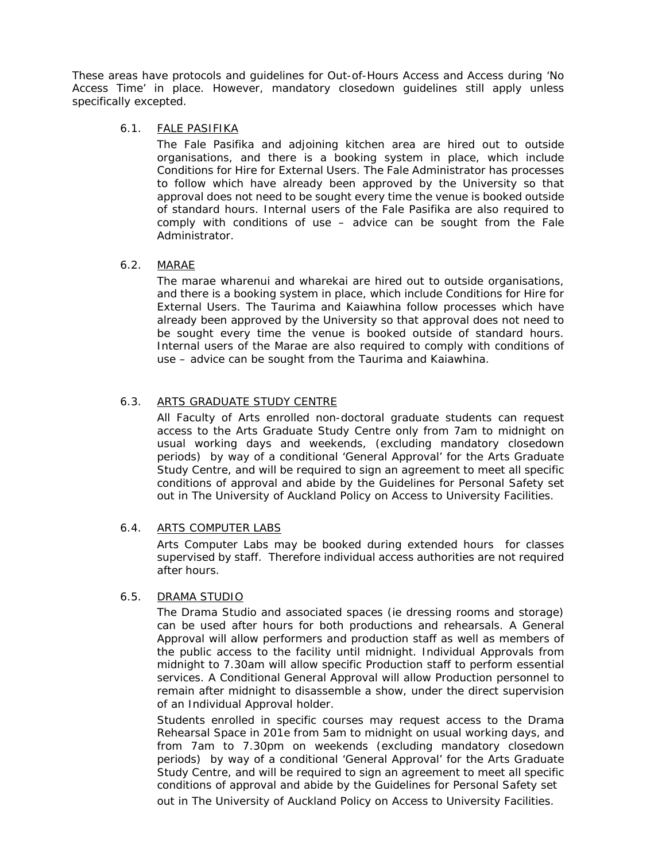These areas have protocols and guidelines for Out-of-Hours Access and Access during 'No Access Time' in place. However, mandatory closedown guidelines still apply unless specifically excepted.

### 6.1. FALE PASIFIKA

The Fale Pasifika and adjoining kitchen area are hired out to outside organisations, and there is a booking system in place, which include Conditions for Hire for External Users. The Fale Administrator has processes to follow which have already been approved by the University so that approval does not need to be sought every time the venue is booked outside of standard hours. Internal users of the Fale Pasifika are also required to comply with conditions of use – advice can be sought from the Fale Administrator.

## 6.2. MARAE

The marae wharenui and wharekai are hired out to outside organisations, and there is a booking system in place, which include Conditions for Hire for External Users. The Taurima and Kaiawhina follow processes which have already been approved by the University so that approval does not need to be sought every time the venue is booked outside of standard hours. Internal users of the Marae are also required to comply with conditions of use – advice can be sought from the Taurima and Kaiawhina.

## 6.3. ARTS GRADUATE STUDY CENTRE

All Faculty of Arts enrolled non-doctoral graduate students can request access to the Arts Graduate Study Centre only from 7am to midnight on usual working days and weekends, (excluding mandatory closedown periods) by way of a conditional 'General Approval' for the Arts Graduate Study Centre, and will be required to sign an agreement to meet all specific conditions of approval and abide by the Guidelines for Personal Safety set out in *The University of Auckland Policy on Access to University Facilities*.

## 6.4. ARTS COMPUTER LABS

Arts Computer Labs may be booked during extended hours for classes supervised by staff. Therefore individual access authorities are not required after hours.

## 6.5. DRAMA STUDIO

The Drama Studio and associated spaces (ie dressing rooms and storage) can be used after hours for both productions and rehearsals. A General Approval will allow performers and production staff as well as members of the public access to the facility until midnight. Individual Approvals from midnight to 7.30am will allow specific Production staff to perform essential services. A Conditional General Approval will allow Production personnel to remain after midnight to disassemble a show, under the direct supervision of an Individual Approval holder.

Students enrolled in specific courses may request access to the Drama Rehearsal Space in 201e from 5am to midnight on usual working days, and from 7am to 7.30pm on weekends (excluding mandatory closedown periods) by way of a conditional 'General Approval' for the Arts Graduate Study Centre, and will be required to sign an agreement to meet all specific conditions of approval and abide by the Guidelines for Personal Safety set

out in *The University of Auckland Policy on Access to University Facilities.*